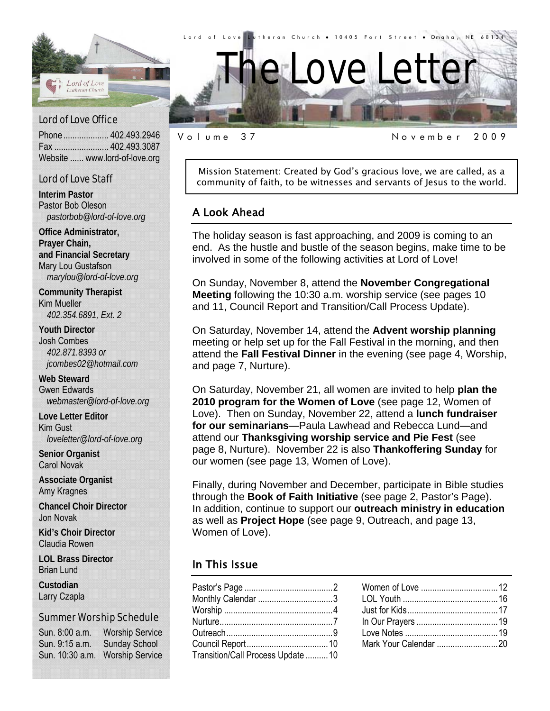

Phone .................... 402.493.2946 Fax ........................ 402.493.3087 Website ...... www.lord-of-love.org

#### Lord of Love Staff

**Interim Pastor**  Pastor Bob Oleson *pastorbob@lord-of-love.org* 

**Office Administrator, Prayer Chain, and Financial Secretary**  Mary Lou Gustafson *marylou@lord-of-love.org* 

**Community Therapist**  Kim Mueller *402.354.6891, Ext. 2* 

**Youth Director**  Josh Combes *402.871.8393 or jcombes02@hotmail.com* 

**Web Steward**  Gwen Edwards *webmaster@lord-of-love.org* 

**Love Letter Editor**  Kim Gust *loveletter@lord-of-love.org* 

**Senior Organist**  Carol Novak

**Associate Organist**  Amy Kragnes

**Chancel Choir Director**  Jon Novak

**Kid's Choir Director**  Claudia Rowen

**LOL Brass Director**  Brian Lund

**Custodian**  Larry Czapla

#### Summer Worship Schedule

Sun. 8:00 a.m. Worship Service Sun. 9:15 a.m. Sunday School Sun. 10:30 a.m. Worship Service

Mission Statement: Created by God's gracious love, we are called, as a community of faith, to be witnesses and servants of Jesus to the world.

Volume 37 November 2009

#### A Look Ahead

The holiday season is fast approaching, and 2009 is coming to an end. As the hustle and bustle of the season begins, make time to be involved in some of the following activities at Lord of Love!

On Sunday, November 8, attend the **November Congregational Meeting** following the 10:30 a.m. worship service (see pages 10 and 11, Council Report and Transition/Call Process Update).

On Saturday, November 14, attend the **Advent worship planning** meeting or help set up for the Fall Festival in the morning, and then attend the **Fall Festival Dinner** in the evening (see page 4, Worship, and page 7, Nurture).

On Saturday, November 21, all women are invited to help **plan the 2010 program for the Women of Love** (see page 12, Women of Love). Then on Sunday, November 22, attend a **lunch fundraiser for our seminarians**—Paula Lawhead and Rebecca Lund—and attend our **Thanksgiving worship service and Pie Fest** (see page 8, Nurture). November 22 is also **Thankoffering Sunday** for our women (see page 13, Women of Love).

Finally, during November and December, participate in Bible studies through the **Book of Faith Initiative** (see page 2, Pastor's Page). In addition, continue to support our **outreach ministry in education** as well as **Project Hope** (see page 9, Outreach, and page 13, Women of Love).

#### In This Issue

| Monthly Calendar 3                 |  |
|------------------------------------|--|
|                                    |  |
|                                    |  |
|                                    |  |
|                                    |  |
| Transition/Call Process Update  10 |  |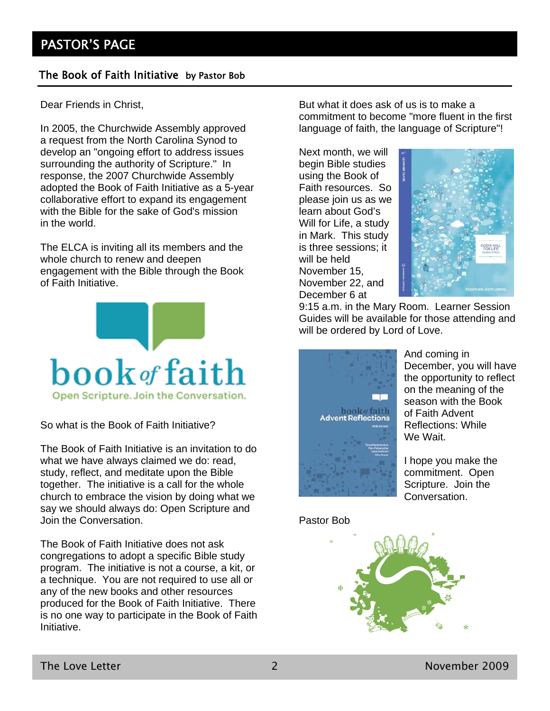#### The Book of Faith Initiative by Pastor Bob

Dear Friends in Christ,

In 2005, the Churchwide Assembly approved a request from the North Carolina Synod to develop an "ongoing effort to address issues surrounding the authority of Scripture." In response, the 2007 Churchwide Assembly adopted the Book of Faith Initiative as a 5-year collaborative effort to expand its engagement with the Bible for the sake of God's mission in the world.

The ELCA is inviting all its members and the whole church to renew and deepen engagement with the Bible through the Book of Faith Initiative.



So what is the Book of Faith Initiative?

The Book of Faith Initiative is an invitation to do what we have always claimed we do: read, study, reflect, and meditate upon the Bible together. The initiative is a call for the whole church to embrace the vision by doing what we say we should always do: Open Scripture and Join the Conversation.

The Book of Faith Initiative does not ask congregations to adopt a specific Bible study program. The initiative is not a course, a kit, or a technique. You are not required to use all or any of the new books and other resources produced for the Book of Faith Initiative. There is no one way to participate in the Book of Faith Initiative.

But what it does ask of us is to make a commitment to become "more fluent in the first language of faith, the language of Scripture"!

Next month, we will begin Bible studies using the Book of Faith resources. So please join us as we learn about God's Will for Life, a study in Mark. This study is three sessions; it will be held November 15, November 22, and December 6 at



9:15 a.m. in the Mary Room. Learner Session Guides will be available for those attending and will be ordered by Lord of Love.





And coming in December, you will have the opportunity to reflect on the meaning of the season with the Book of Faith Advent Reflections: While We Wait.

I hope you make the commitment. Open Scripture. Join the Conversation.

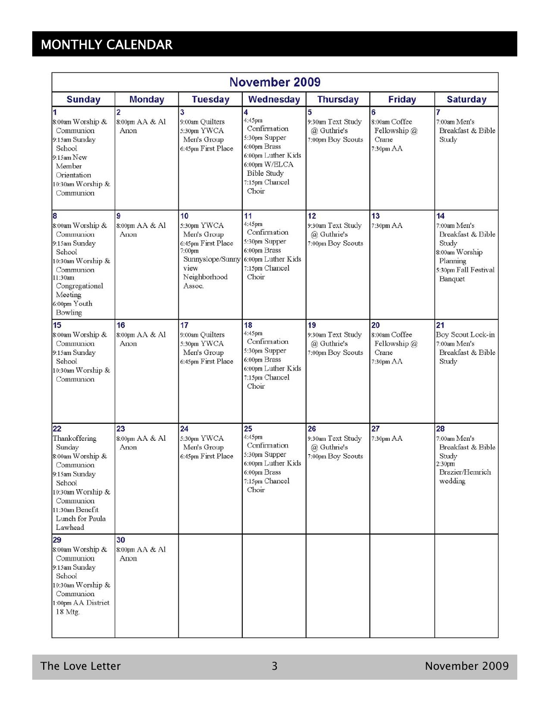# MONTHLY CALENDAR

| November 2009                                                                                                                                                                |                                          |                                                                                                                        |                                                                                                                                                      |                                                             |                                                            |                                                                                                                   |
|------------------------------------------------------------------------------------------------------------------------------------------------------------------------------|------------------------------------------|------------------------------------------------------------------------------------------------------------------------|------------------------------------------------------------------------------------------------------------------------------------------------------|-------------------------------------------------------------|------------------------------------------------------------|-------------------------------------------------------------------------------------------------------------------|
| <b>Sunday</b>                                                                                                                                                                | <b>Monday</b>                            | <b>Tuesday</b>                                                                                                         | Wednesday                                                                                                                                            | <b>Thursday</b>                                             | <b>Friday</b>                                              | <b>Saturday</b>                                                                                                   |
| $\overline{\mathbf{1}}$<br>8:00am Worship &<br>Communion<br>9:15am Sunday<br>School<br>9:15am New<br>Member<br>Orientation<br>10:30am Worship &<br>Communion                 | $\overline{2}$<br>8:00pm AA & Al<br>Anon | 3<br>9:00am Quilters<br>5:30pm YWCA<br>Men's Group<br>6:45pm First Place                                               | 4<br>4:45pm<br>Confirmation<br>5:30pm Supper<br>6:00pm Brass<br>6:00pm Luther Kids<br>6:00pm W/ELCA<br><b>Bible Study</b><br>7:15pm Chancel<br>Choir | 5<br>9:30am Text Study<br>@ Guthrie's<br>7:00pm Boy Scouts  | 6<br>8:00am Coffee<br>Fellowship $@$<br>Crane<br>7:30pm AA | 7<br>7:00am Men's<br>Breakfast & Bible<br>Study                                                                   |
| 8<br>8:00am Worship &<br>Communion<br>9:15am Sunday<br>School<br>10:30am Worship &<br>Communion<br>11:30am<br>Congregational<br>Meeting<br>6:00pm Youth<br>Bowling           | <b>Q</b><br>8:00pm AA & Al<br>Anon       | 10<br>5:30pm YWCA<br>Men's Group<br>6:45pm First Place<br>7:00pm<br>Sunnyslope/Sunny<br>view<br>Neighborhood<br>Assoc. | 11<br>4:45pm<br>Confirmation<br>5:30pm Supper<br>6:00pm Brass<br>6:00pm Luther Kids<br>7:15pm Chancel<br>Choir                                       | 12<br>9:30am Text Study<br>@ Guthrie's<br>7:00pm Boy Scouts | 13<br>7:30pm AA                                            | 14<br>7:00am Men's<br>Breakfast & Bible<br>Study<br>8:00am Worship<br>Planning<br>5:30pm Fall Festival<br>Banquet |
| 15<br>8:00am Worship &<br>Communion<br>9:15am Sunday<br>School<br>0:30am Worship &<br>Communion                                                                              | 16<br>8:00pm AA & Al<br>Anon             | 17<br>9:00am Quilters<br>5:30pm YWCA<br>Men's Group<br>6:45pm First Place                                              | 18<br>4:45pm<br>Confirmation<br>5:30pm Supper<br>6:00pm Brass<br>6:00pm Luther Kids<br>7:15pm Chancel<br>Choir                                       | 19<br>9:30am Text Study<br>@ Guthrie's<br>7:00pm Boy Scouts | 20<br>8:00am Coffee<br>Fellowship @<br>Crane<br>7:30pm AA  | 21<br>Boy Scout Lock-in<br>7:00am Men's<br>Breakfast & Bible<br>Study                                             |
| 22<br>Thankoffering<br>Sunday<br>8:00am Worship &<br>Communion<br>9:15am Sunday<br>School<br>10:30am Worship &<br>Communion<br>11:30am Benefit<br>Lunch for Paula<br>Lawhead | 23<br>8:00pm AA & Al<br>Anon             | 24<br>5:30pm YWCA<br>Men's Group<br>6:45pm First Place                                                                 | 25<br>4:45pm<br>Confirmation<br>5:30pm Supper<br>6:00pm Luther Kids<br>6:00pm Brass<br>7:15pm Chancel<br>Choir                                       | 26<br>9:30am Text Study<br>@ Guthrie's<br>7:00pm Boy Scouts | 27<br>7:30pm AA                                            | 28<br>7:00am Men's<br>Breakfast & Bible<br>Study<br>2:30pm<br>Brazier/Hemrich<br>wedding                          |
| 29<br>8:00am Worship &<br>Communion<br>9:15am Sunday<br>School<br>10:30am Worship &<br>Communion<br>1:00pm AA District<br>18 Mtg.                                            | 30<br>8:00pm AA & Al<br>Anon             |                                                                                                                        |                                                                                                                                                      |                                                             |                                                            |                                                                                                                   |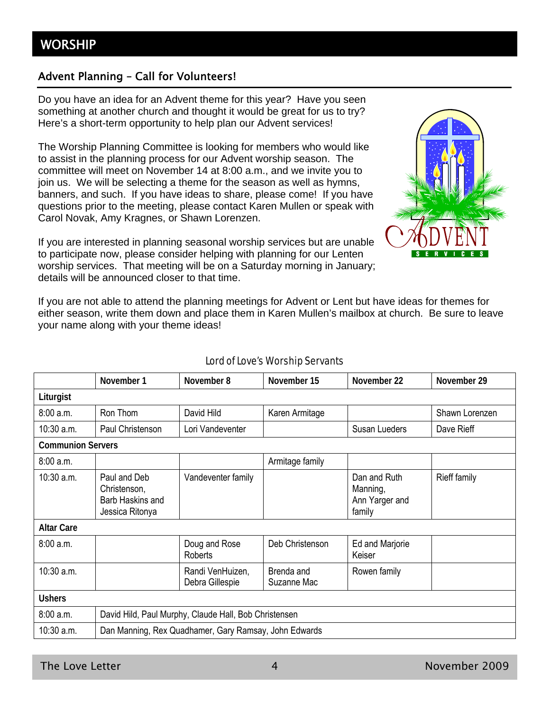#### Advent Planning – Call for Volunteers!

Do you have an idea for an Advent theme for this year? Have you seen something at another church and thought it would be great for us to try? Here's a short-term opportunity to help plan our Advent services!

The Worship Planning Committee is looking for members who would like to assist in the planning process for our Advent worship season. The committee will meet on November 14 at 8:00 a.m., and we invite you to join us. We will be selecting a theme for the season as well as hymns, banners, and such. If you have ideas to share, please come! If you have questions prior to the meeting, please contact Karen Mullen or speak with Carol Novak, Amy Kragnes, or Shawn Lorenzen.

If you are interested in planning seasonal worship services but are unable to participate now, please consider helping with planning for our Lenten worship services. That meeting will be on a Saturday morning in January; details will be announced closer to that time.



If you are not able to attend the planning meetings for Advent or Lent but have ideas for themes for either season, write them down and place them in Karen Mullen's mailbox at church. Be sure to leave your name along with your theme ideas!

|                          | November 1                                                          | November 8                          | November 15               | November 22                                          | November 29    |
|--------------------------|---------------------------------------------------------------------|-------------------------------------|---------------------------|------------------------------------------------------|----------------|
| Liturgist                |                                                                     |                                     |                           |                                                      |                |
| 8:00 a.m.                | Ron Thom                                                            | David Hild                          | Karen Armitage            |                                                      | Shawn Lorenzen |
| 10:30 a.m.               | Paul Christenson                                                    | Lori Vandeventer                    |                           | Susan Lueders                                        | Dave Rieff     |
| <b>Communion Servers</b> |                                                                     |                                     |                           |                                                      |                |
| 8:00 a.m.                |                                                                     |                                     | Armitage family           |                                                      |                |
| $10:30$ a.m.             | Paul and Deb<br>Christenson,<br>Barb Haskins and<br>Jessica Ritonya | Vandeventer family                  |                           | Dan and Ruth<br>Manning,<br>Ann Yarger and<br>family | Rieff family   |
| <b>Altar Care</b>        |                                                                     |                                     |                           |                                                      |                |
| 8:00 a.m.                |                                                                     | Doug and Rose<br>Roberts            | Deb Christenson           | Ed and Marjorie<br>Keiser                            |                |
| $10:30$ a.m.             |                                                                     | Randi VenHuizen,<br>Debra Gillespie | Brenda and<br>Suzanne Mac | Rowen family                                         |                |
| <b>Ushers</b>            |                                                                     |                                     |                           |                                                      |                |
| 8:00a.m.                 | David Hild, Paul Murphy, Claude Hall, Bob Christensen               |                                     |                           |                                                      |                |
| $10:30$ a.m.             | Dan Manning, Rex Quadhamer, Gary Ramsay, John Edwards               |                                     |                           |                                                      |                |

#### Lord of Love's Worship Servants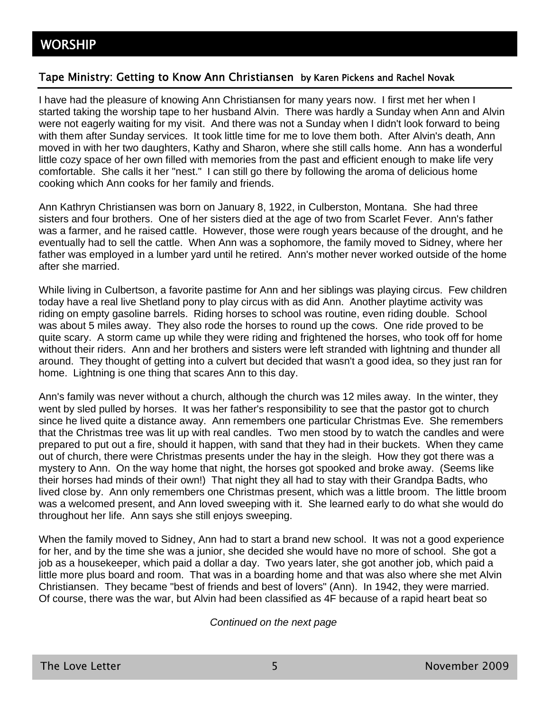#### Tape Ministry: Getting to Know Ann Christiansen by Karen Pickens and Rachel Novak

I have had the pleasure of knowing Ann Christiansen for many years now. I first met her when I started taking the worship tape to her husband Alvin. There was hardly a Sunday when Ann and Alvin were not eagerly waiting for my visit. And there was not a Sunday when I didn't look forward to being with them after Sunday services. It took little time for me to love them both. After Alvin's death, Ann moved in with her two daughters, Kathy and Sharon, where she still calls home. Ann has a wonderful little cozy space of her own filled with memories from the past and efficient enough to make life very comfortable. She calls it her "nest." I can still go there by following the aroma of delicious home cooking which Ann cooks for her family and friends.

Ann Kathryn Christiansen was born on January 8, 1922, in Culberston, Montana. She had three sisters and four brothers. One of her sisters died at the age of two from Scarlet Fever. Ann's father was a farmer, and he raised cattle. However, those were rough years because of the drought, and he eventually had to sell the cattle. When Ann was a sophomore, the family moved to Sidney, where her father was employed in a lumber yard until he retired. Ann's mother never worked outside of the home after she married.

While living in Culbertson, a favorite pastime for Ann and her siblings was playing circus. Few children today have a real live Shetland pony to play circus with as did Ann. Another playtime activity was riding on empty gasoline barrels. Riding horses to school was routine, even riding double. School was about 5 miles away. They also rode the horses to round up the cows. One ride proved to be quite scary. A storm came up while they were riding and frightened the horses, who took off for home without their riders. Ann and her brothers and sisters were left stranded with lightning and thunder all around. They thought of getting into a culvert but decided that wasn't a good idea, so they just ran for home. Lightning is one thing that scares Ann to this day.

Ann's family was never without a church, although the church was 12 miles away. In the winter, they went by sled pulled by horses. It was her father's responsibility to see that the pastor got to church since he lived quite a distance away. Ann remembers one particular Christmas Eve. She remembers that the Christmas tree was lit up with real candles. Two men stood by to watch the candles and were prepared to put out a fire, should it happen, with sand that they had in their buckets. When they came out of church, there were Christmas presents under the hay in the sleigh. How they got there was a mystery to Ann. On the way home that night, the horses got spooked and broke away. (Seems like their horses had minds of their own!) That night they all had to stay with their Grandpa Badts, who lived close by. Ann only remembers one Christmas present, which was a little broom. The little broom was a welcomed present, and Ann loved sweeping with it. She learned early to do what she would do throughout her life. Ann says she still enjoys sweeping.

When the family moved to Sidney, Ann had to start a brand new school. It was not a good experience for her, and by the time she was a junior, she decided she would have no more of school. She got a job as a housekeeper, which paid a dollar a day. Two years later, she got another job, which paid a little more plus board and room. That was in a boarding home and that was also where she met Alvin Christiansen. They became "best of friends and best of lovers" (Ann). In 1942, they were married. Of course, there was the war, but Alvin had been classified as 4F because of a rapid heart beat so

#### *Continued on the next page*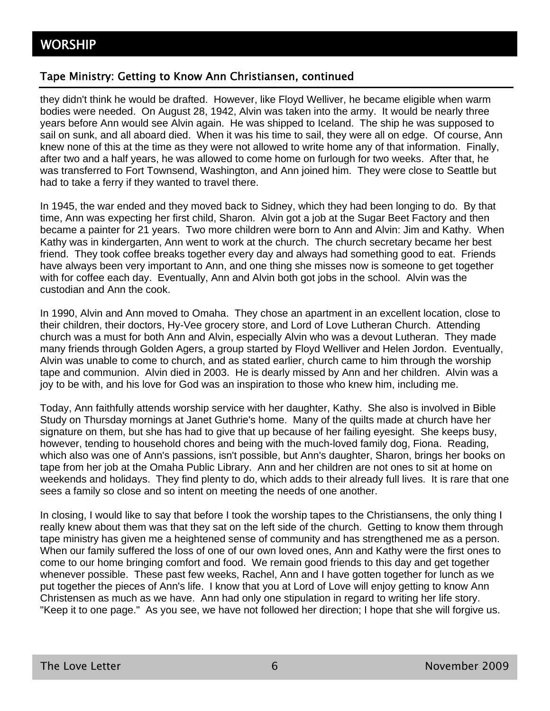#### Tape Ministry: Getting to Know Ann Christiansen, continued

they didn't think he would be drafted. However, like Floyd Welliver, he became eligible when warm bodies were needed. On August 28, 1942, Alvin was taken into the army. It would be nearly three years before Ann would see Alvin again. He was shipped to Iceland. The ship he was supposed to sail on sunk, and all aboard died. When it was his time to sail, they were all on edge. Of course, Ann knew none of this at the time as they were not allowed to write home any of that information. Finally, after two and a half years, he was allowed to come home on furlough for two weeks. After that, he was transferred to Fort Townsend, Washington, and Ann joined him. They were close to Seattle but had to take a ferry if they wanted to travel there.

In 1945, the war ended and they moved back to Sidney, which they had been longing to do. By that time, Ann was expecting her first child, Sharon. Alvin got a job at the Sugar Beet Factory and then became a painter for 21 years. Two more children were born to Ann and Alvin: Jim and Kathy. When Kathy was in kindergarten, Ann went to work at the church. The church secretary became her best friend. They took coffee breaks together every day and always had something good to eat. Friends have always been very important to Ann, and one thing she misses now is someone to get together with for coffee each day. Eventually, Ann and Alvin both got jobs in the school. Alvin was the custodian and Ann the cook.

In 1990, Alvin and Ann moved to Omaha. They chose an apartment in an excellent location, close to their children, their doctors, Hy-Vee grocery store, and Lord of Love Lutheran Church. Attending church was a must for both Ann and Alvin, especially Alvin who was a devout Lutheran. They made many friends through Golden Agers, a group started by Floyd Welliver and Helen Jordon. Eventually, Alvin was unable to come to church, and as stated earlier, church came to him through the worship tape and communion. Alvin died in 2003. He is dearly missed by Ann and her children. Alvin was a joy to be with, and his love for God was an inspiration to those who knew him, including me.

Today, Ann faithfully attends worship service with her daughter, Kathy. She also is involved in Bible Study on Thursday mornings at Janet Guthrie's home. Many of the quilts made at church have her signature on them, but she has had to give that up because of her failing eyesight. She keeps busy, however, tending to household chores and being with the much-loved family dog, Fiona. Reading, which also was one of Ann's passions, isn't possible, but Ann's daughter, Sharon, brings her books on tape from her job at the Omaha Public Library. Ann and her children are not ones to sit at home on weekends and holidays. They find plenty to do, which adds to their already full lives. It is rare that one sees a family so close and so intent on meeting the needs of one another.

In closing, I would like to say that before I took the worship tapes to the Christiansens, the only thing I really knew about them was that they sat on the left side of the church. Getting to know them through tape ministry has given me a heightened sense of community and has strengthened me as a person. When our family suffered the loss of one of our own loved ones, Ann and Kathy were the first ones to come to our home bringing comfort and food. We remain good friends to this day and get together whenever possible. These past few weeks, Rachel, Ann and I have gotten together for lunch as we put together the pieces of Ann's life. I know that you at Lord of Love will enjoy getting to know Ann Christensen as much as we have. Ann had only one stipulation in regard to writing her life story. "Keep it to one page." As you see, we have not followed her direction; I hope that she will forgive us.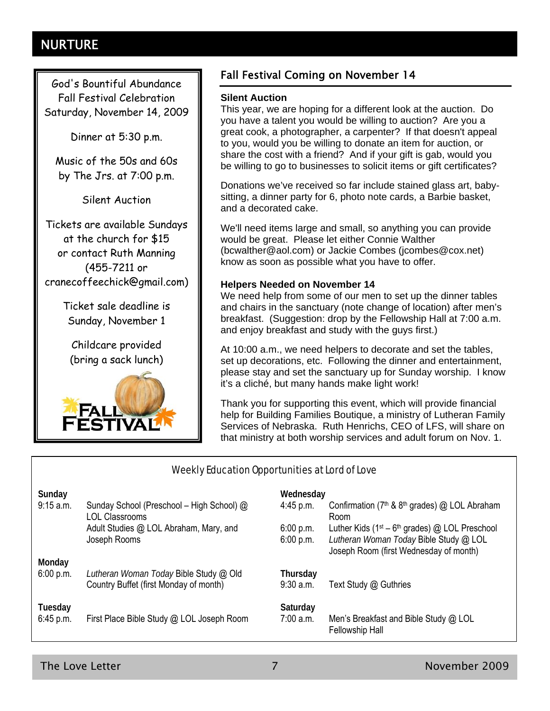# NURTURE

God's Bountiful Abundance Fall Festival Celebration Saturday, November 14, 2009

Dinner at 5:30 p.m.

Music of the 50s and 60s by The Jrs. at 7:00 p.m.

Silent Auction

Tickets are available Sundays at the church for \$15 or contact Ruth Manning (455-7211 or cranecoffeechick@gmail.com)

> Ticket sale deadline is Sunday, November 1

Childcare provided (bring a sack lunch)



#### Fall Festival Coming on November 14

#### **Silent Auction**

This year, we are hoping for a different look at the auction. Do you have a talent you would be willing to auction? Are you a great cook, a photographer, a carpenter? If that doesn't appeal to you, would you be willing to donate an item for auction, or share the cost with a friend? And if your gift is gab, would you be willing to go to businesses to solicit items or gift certificates?

Donations we've received so far include stained glass art, babysitting, a dinner party for 6, photo note cards, a Barbie basket, and a decorated cake.

We'll need items large and small, so anything you can provide would be great. Please let either Connie Walther (bcwalther@aol.com) or Jackie Combes (jcombes@cox.net) know as soon as possible what you have to offer.

#### **Helpers Needed on November 14**

We need help from some of our men to set up the dinner tables and chairs in the sanctuary (note change of location) after men's breakfast. (Suggestion: drop by the Fellowship Hall at 7:00 a.m. and enjoy breakfast and study with the guys first.)

At 10:00 a.m., we need helpers to decorate and set the tables, set up decorations, etc. Following the dinner and entertainment, please stay and set the sanctuary up for Sunday worship. I know it's a cliché, but many hands make light work!

Thank you for supporting this event, which will provide financial help for Building Families Boutique, a ministry of Lutheran Family Services of Nebraska. Ruth Henrichs, CEO of LFS, will share on that ministry at both worship services and adult forum on Nov. 1.

#### Weekly Education Opportunities at Lord of Love

|                                                                                  | Wednesday               |                                                                                                                                       |
|----------------------------------------------------------------------------------|-------------------------|---------------------------------------------------------------------------------------------------------------------------------------|
| Sunday School (Preschool - High School) @<br>LOL Classrooms                      | $4:45$ p.m.             | Confirmation (7 <sup>th</sup> & 8 <sup>th</sup> grades) @ LOL Abraham<br>Room                                                         |
| Adult Studies @ LOL Abraham, Mary, and<br>Joseph Rooms                           | 6:00 p.m.<br>6:00 p.m.  | Luther Kids ( $1st - 6th$ grades) @ LOL Preschool<br>Lutheran Woman Today Bible Study @ LOL<br>Joseph Room (first Wednesday of month) |
|                                                                                  |                         |                                                                                                                                       |
| Lutheran Woman Today Bible Study @ Old<br>Country Buffet (first Monday of month) | Thursday<br>$9:30$ a.m. | Text Study @ Guthries                                                                                                                 |
| First Place Bible Study @ LOL Joseph Room                                        | Saturday<br>$7:00$ a.m. | Men's Breakfast and Bible Study @ LOL<br><b>Fellowship Hall</b>                                                                       |
|                                                                                  |                         |                                                                                                                                       |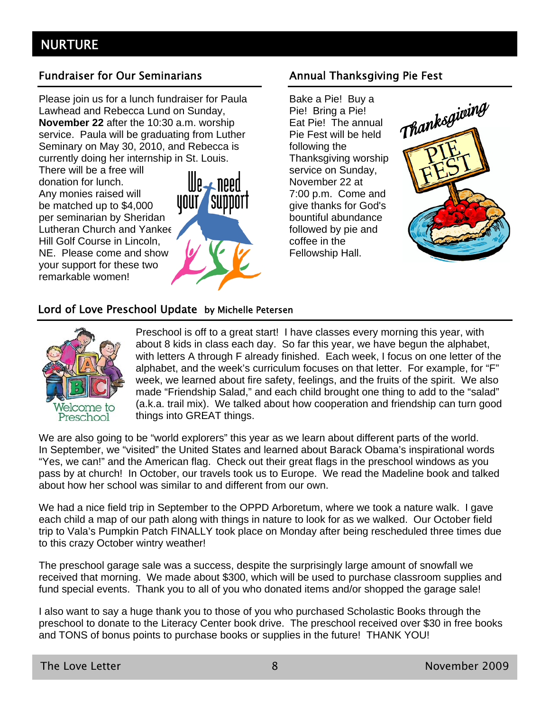#### Fundraiser for Our Seminarians **Annual Thanksgiving Pie Fest**

Please join us for a lunch fundraiser for Paula Lawhead and Rebecca Lund on Sunday, **November 22** after the 10:30 a.m. worship service. Paula will be graduating from Luther Seminary on May 30, 2010, and Rebecca is currently doing her internship in St. Louis.

There will be a free will donation for lunch. Any monies raised will be matched up to \$4,000 per seminarian by Sheridan Lutheran Church and Yankee Hill Golf Course in Lincoln, NE. Please come and show your support for these two remarkable women!



Bake a Pie! Buy a Pie! Bring a Pie! Eat Pie! The annual Pie Fest will be held following the Thanksgiving worship service on Sunday, November 22 at 7:00 p.m. Come and give thanks for God's bountiful abundance followed by pie and coffee in the Fellowship Hall.



#### Lord of Love Preschool Update by Michelle Petersen



Preschool is off to a great start! I have classes every morning this year, with about 8 kids in class each day. So far this year, we have begun the alphabet, with letters A through F already finished. Each week, I focus on one letter of the alphabet, and the week's curriculum focuses on that letter. For example, for "F" week, we learned about fire safety, feelings, and the fruits of the spirit. We also made "Friendship Salad," and each child brought one thing to add to the "salad" (a.k.a. trail mix). We talked about how cooperation and friendship can turn good things into GREAT things.

We are also going to be "world explorers" this year as we learn about different parts of the world. In September, we "visited" the United States and learned about Barack Obama's inspirational words "Yes, we can!" and the American flag. Check out their great flags in the preschool windows as you pass by at church! In October, our travels took us to Europe. We read the Madeline book and talked about how her school was similar to and different from our own.

We had a nice field trip in September to the OPPD Arboretum, where we took a nature walk. I gave each child a map of our path along with things in nature to look for as we walked. Our October field trip to Vala's Pumpkin Patch FINALLY took place on Monday after being rescheduled three times due to this crazy October wintry weather!

The preschool garage sale was a success, despite the surprisingly large amount of snowfall we received that morning. We made about \$300, which will be used to purchase classroom supplies and fund special events. Thank you to all of you who donated items and/or shopped the garage sale!

I also want to say a huge thank you to those of you who purchased Scholastic Books through the preschool to donate to the Literacy Center book drive. The preschool received over \$30 in free books and TONS of bonus points to purchase books or supplies in the future! THANK YOU!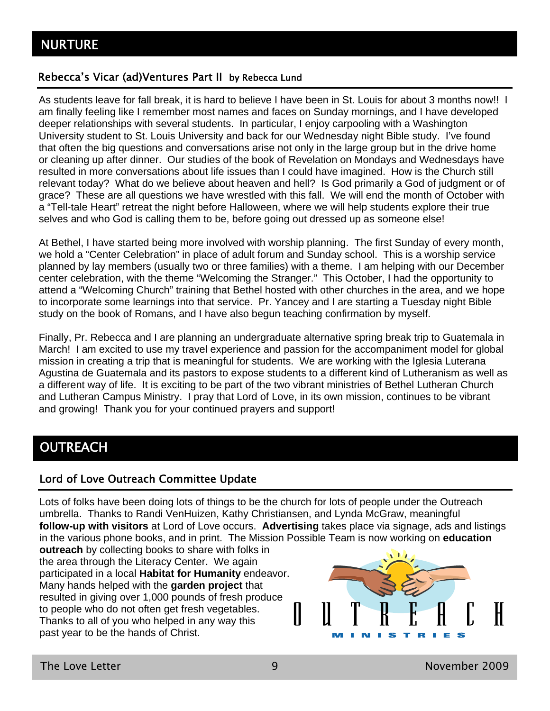#### Rebecca's Vicar (ad)Ventures Part II by Rebecca Lund

As students leave for fall break, it is hard to believe I have been in St. Louis for about 3 months now!! I am finally feeling like I remember most names and faces on Sunday mornings, and I have developed deeper relationships with several students. In particular, I enjoy carpooling with a Washington University student to St. Louis University and back for our Wednesday night Bible study. I've found that often the big questions and conversations arise not only in the large group but in the drive home or cleaning up after dinner. Our studies of the book of Revelation on Mondays and Wednesdays have resulted in more conversations about life issues than I could have imagined. How is the Church still relevant today? What do we believe about heaven and hell? Is God primarily a God of judgment or of grace? These are all questions we have wrestled with this fall. We will end the month of October with a "Tell-tale Heart" retreat the night before Halloween, where we will help students explore their true selves and who God is calling them to be, before going out dressed up as someone else!

At Bethel, I have started being more involved with worship planning. The first Sunday of every month, we hold a "Center Celebration" in place of adult forum and Sunday school. This is a worship service planned by lay members (usually two or three families) with a theme. I am helping with our December center celebration, with the theme "Welcoming the Stranger." This October, I had the opportunity to attend a "Welcoming Church" training that Bethel hosted with other churches in the area, and we hope to incorporate some learnings into that service. Pr. Yancey and I are starting a Tuesday night Bible study on the book of Romans, and I have also begun teaching confirmation by myself.

Finally, Pr. Rebecca and I are planning an undergraduate alternative spring break trip to Guatemala in March! I am excited to use my travel experience and passion for the accompaniment model for global mission in creating a trip that is meaningful for students. We are working with the Iglesia Luterana Agustina de Guatemala and its pastors to expose students to a different kind of Lutheranism as well as a different way of life. It is exciting to be part of the two vibrant ministries of Bethel Lutheran Church and Lutheran Campus Ministry. I pray that Lord of Love, in its own mission, continues to be vibrant and growing! Thank you for your continued prayers and support!

# **OUTREACH**

#### Lord of Love Outreach Committee Update

Lots of folks have been doing lots of things to be the church for lots of people under the Outreach umbrella. Thanks to Randi VenHuizen, Kathy Christiansen, and Lynda McGraw, meaningful **follow-up with visitors** at Lord of Love occurs. **Advertising** takes place via signage, ads and listings in the various phone books, and in print. The Mission Possible Team is now working on **education** 

**outreach** by collecting books to share with folks in the area through the Literacy Center. We again participated in a local **Habitat for Humanity** endeavor. Many hands helped with the **garden project** that resulted in giving over 1,000 pounds of fresh produce to people who do not often get fresh vegetables. Ш Thanks to all of you who helped in any way this past year to be the hands of Christ.

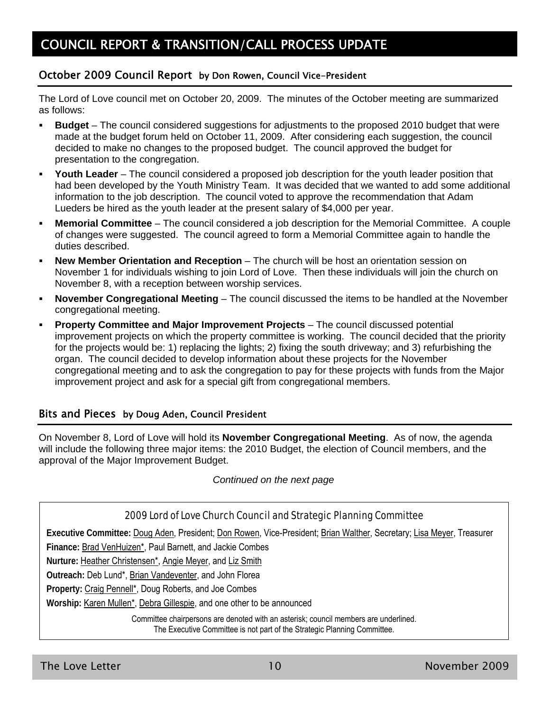#### October 2009 Council Report by Don Rowen, Council Vice-President

The Lord of Love council met on October 20, 2009. The minutes of the October meeting are summarized as follows:

- **Budget** The council considered suggestions for adjustments to the proposed 2010 budget that were made at the budget forum held on October 11, 2009. After considering each suggestion, the council decided to make no changes to the proposed budget. The council approved the budget for presentation to the congregation.
- **Youth Leader** The council considered a proposed job description for the youth leader position that had been developed by the Youth Ministry Team. It was decided that we wanted to add some additional information to the job description. The council voted to approve the recommendation that Adam Lueders be hired as the youth leader at the present salary of \$4,000 per year.
- **Memorial Committee** The council considered a job description for the Memorial Committee. A couple of changes were suggested. The council agreed to form a Memorial Committee again to handle the duties described.
- **New Member Orientation and Reception** The church will be host an orientation session on November 1 for individuals wishing to join Lord of Love. Then these individuals will join the church on November 8, with a reception between worship services.
- **November Congregational Meeting** The council discussed the items to be handled at the November congregational meeting.
- **Property Committee and Major Improvement Projects** The council discussed potential improvement projects on which the property committee is working. The council decided that the priority for the projects would be: 1) replacing the lights; 2) fixing the south driveway; and 3) refurbishing the organ. The council decided to develop information about these projects for the November congregational meeting and to ask the congregation to pay for these projects with funds from the Major improvement project and ask for a special gift from congregational members.

#### Bits and Pieces by Doug Aden, Council President

On November 8, Lord of Love will hold its **November Congregational Meeting**. As of now, the agenda will include the following three major items: the 2010 Budget, the election of Council members, and the approval of the Major Improvement Budget.

*Continued on the next page* 

#### 2009 Lord of Love Church Council and Strategic Planning Committee

**Executive Committee:** Doug Aden, President; Don Rowen, Vice-President; Brian Walther, Secretary; Lisa Meyer, Treasurer

**Finance:** Brad VenHuizen\*, Paul Barnett, and Jackie Combes

**Nurture:** Heather Christensen\*, Angie Meyer, and Liz Smith

**Outreach:** Deb Lund\*, Brian Vandeventer, and John Florea

**Property:** Craig Pennell\*, Doug Roberts, and Joe Combes

**Worship:** Karen Mullen\*, Debra Gillespie, and one other to be announced

Committee chairpersons are denoted with an asterisk; council members are underlined.

The Executive Committee is not part of the Strategic Planning Committee.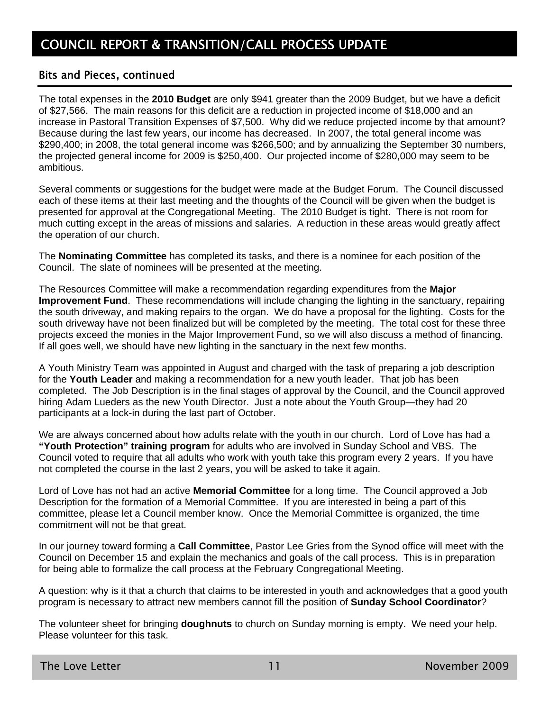#### Bits and Pieces, continued

The total expenses in the **2010 Budget** are only \$941 greater than the 2009 Budget, but we have a deficit of \$27,566. The main reasons for this deficit are a reduction in projected income of \$18,000 and an increase in Pastoral Transition Expenses of \$7,500. Why did we reduce projected income by that amount? Because during the last few years, our income has decreased. In 2007, the total general income was \$290,400; in 2008, the total general income was \$266,500; and by annualizing the September 30 numbers, the projected general income for 2009 is \$250,400. Our projected income of \$280,000 may seem to be ambitious.

Several comments or suggestions for the budget were made at the Budget Forum. The Council discussed each of these items at their last meeting and the thoughts of the Council will be given when the budget is presented for approval at the Congregational Meeting. The 2010 Budget is tight. There is not room for much cutting except in the areas of missions and salaries. A reduction in these areas would greatly affect the operation of our church.

The **Nominating Committee** has completed its tasks, and there is a nominee for each position of the Council. The slate of nominees will be presented at the meeting.

The Resources Committee will make a recommendation regarding expenditures from the **Major Improvement Fund**. These recommendations will include changing the lighting in the sanctuary, repairing the south driveway, and making repairs to the organ. We do have a proposal for the lighting. Costs for the south driveway have not been finalized but will be completed by the meeting. The total cost for these three projects exceed the monies in the Major Improvement Fund, so we will also discuss a method of financing. If all goes well, we should have new lighting in the sanctuary in the next few months.

A Youth Ministry Team was appointed in August and charged with the task of preparing a job description for the **Youth Leader** and making a recommendation for a new youth leader. That job has been completed. The Job Description is in the final stages of approval by the Council, and the Council approved hiring Adam Lueders as the new Youth Director. Just a note about the Youth Group—they had 20 participants at a lock-in during the last part of October.

We are always concerned about how adults relate with the youth in our church. Lord of Love has had a **"Youth Protection" training program** for adults who are involved in Sunday School and VBS. The Council voted to require that all adults who work with youth take this program every 2 years. If you have not completed the course in the last 2 years, you will be asked to take it again.

Lord of Love has not had an active **Memorial Committee** for a long time. The Council approved a Job Description for the formation of a Memorial Committee. If you are interested in being a part of this committee, please let a Council member know. Once the Memorial Committee is organized, the time commitment will not be that great.

In our journey toward forming a **Call Committee**, Pastor Lee Gries from the Synod office will meet with the Council on December 15 and explain the mechanics and goals of the call process. This is in preparation for being able to formalize the call process at the February Congregational Meeting.

A question: why is it that a church that claims to be interested in youth and acknowledges that a good youth program is necessary to attract new members cannot fill the position of **Sunday School Coordinator**?

The volunteer sheet for bringing **doughnuts** to church on Sunday morning is empty. We need your help. Please volunteer for this task.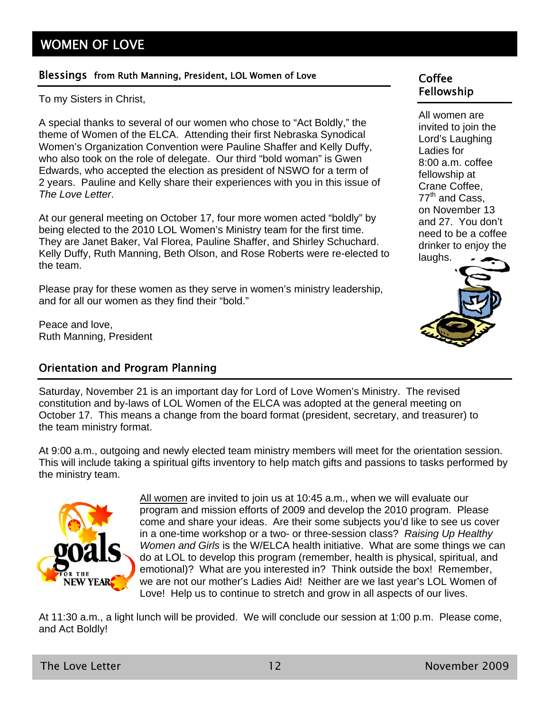# WOMEN OF LOVE

#### Blessings from Ruth Manning, President, LOL Women of Love Coffee

To my Sisters in Christ,

A special thanks to several of our women who chose to "Act Boldly," the theme of Women of the ELCA. Attending their first Nebraska Synodical Women's Organization Convention were Pauline Shaffer and Kelly Duffy, who also took on the role of delegate. Our third "bold woman" is Gwen Edwards, who accepted the election as president of NSWO for a term of 2 years. Pauline and Kelly share their experiences with you in this issue of *The Love Letter*.

At our general meeting on October 17, four more women acted "boldly" by being elected to the 2010 LOL Women's Ministry team for the first time. They are Janet Baker, Val Florea, Pauline Shaffer, and Shirley Schuchard. Kelly Duffy, Ruth Manning, Beth Olson, and Rose Roberts were re-elected to the team.

Please pray for these women as they serve in women's ministry leadership, and for all our women as they find their "bold."

Peace and love, Ruth Manning, President

#### Orientation and Program Planning

# Fellowship

All women are invited to join the Lord's Laughing Ladies for 8:00 a.m. coffee fellowship at Crane Coffee,  $77<sup>th</sup>$  and Cass, on November 13 and 27. You don't need to be a coffee drinker to enjoy the



Saturday, November 21 is an important day for Lord of Love Women's Ministry. The revised constitution and by-laws of LOL Women of the ELCA was adopted at the general meeting on October 17. This means a change from the board format (president, secretary, and treasurer) to the team ministry format.

At 9:00 a.m., outgoing and newly elected team ministry members will meet for the orientation session. This will include taking a spiritual gifts inventory to help match gifts and passions to tasks performed by the ministry team.



All women are invited to join us at 10:45 a.m., when we will evaluate our program and mission efforts of 2009 and develop the 2010 program. Please come and share your ideas. Are their some subjects you'd like to see us cover in a one-time workshop or a two- or three-session class? *Raising Up Healthy Women and Girls* is the W/ELCA health initiative. What are some things we can do at LOL to develop this program (remember, health is physical, spiritual, and emotional)? What are you interested in? Think outside the box! Remember, we are not our mother's Ladies Aid! Neither are we last year's LOL Women of Love! Help us to continue to stretch and grow in all aspects of our lives.

At 11:30 a.m., a light lunch will be provided. We will conclude our session at 1:00 p.m. Please come, and Act Boldly!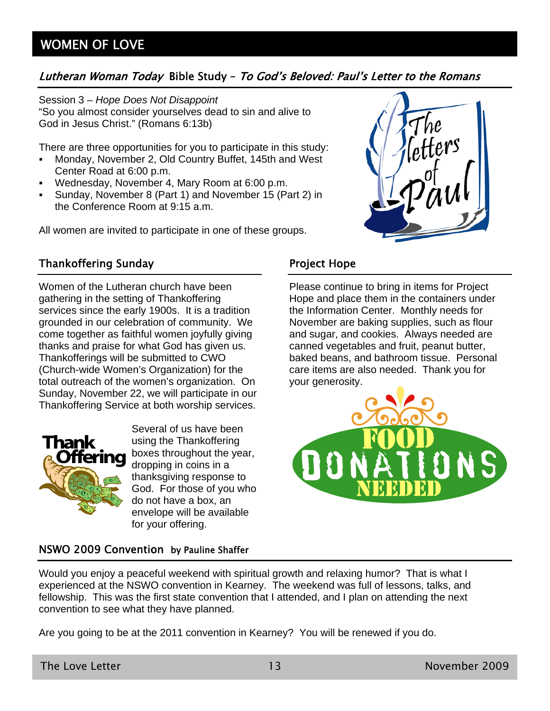## Lutheran Woman Today Bible Study – To God's Beloved: Paul's Letter to the Romans

Session 3 – *Hope Does Not Disappoint* "So you almost consider yourselves dead to sin and alive to God in Jesus Christ." (Romans 6:13b)

There are three opportunities for you to participate in this study:

- Monday, November 2, Old Country Buffet, 145th and West Center Road at 6:00 p.m.
- Wednesday, November 4, Mary Room at 6:00 p.m.
- Sunday, November 8 (Part 1) and November 15 (Part 2) in the Conference Room at 9:15 a.m.

All women are invited to participate in one of these groups.

## Thankoffering Sunday

Women of the Lutheran church have been gathering in the setting of Thankoffering services since the early 1900s. It is a tradition grounded in our celebration of community. We come together as faithful women joyfully giving thanks and praise for what God has given us. Thankofferings will be submitted to CWO (Church-wide Women's Organization) for the total outreach of the women's organization. On Sunday, November 22, we will participate in our Thankoffering Service at both worship services.



Several of us have been using the Thankoffering boxes throughout the year, dropping in coins in a thanksgiving response to God. For those of you who do not have a box, an envelope will be available for your offering.

#### NSWO 2009 Convention by Pauline Shaffer

#### Would you enjoy a peaceful weekend with spiritual growth and relaxing humor? That is what I experienced at the NSWO convention in Kearney. The weekend was full of lessons, talks, and fellowship. This was the first state convention that I attended, and I plan on attending the next convention to see what they have planned.

Are you going to be at the 2011 convention in Kearney? You will be renewed if you do.



### Project Hope

Please continue to bring in items for Project Hope and place them in the containers under the Information Center. Monthly needs for November are baking supplies, such as flour and sugar, and cookies. Always needed are canned vegetables and fruit, peanut butter, baked beans, and bathroom tissue. Personal care items are also needed. Thank you for your generosity.

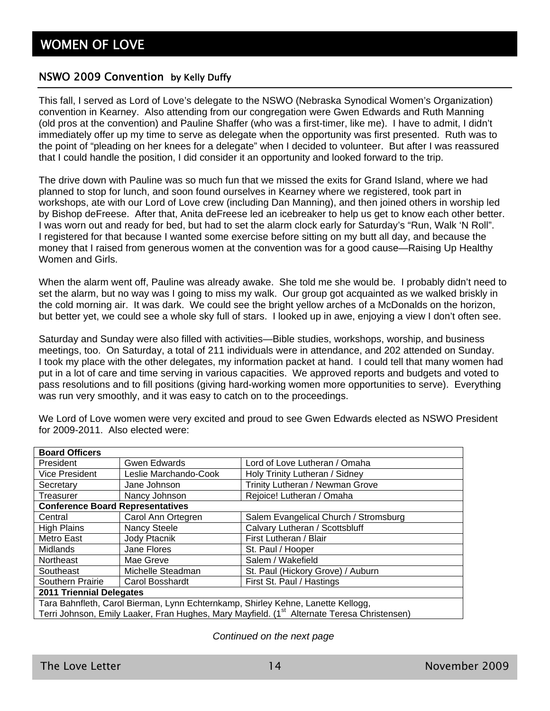#### NSWO 2009 Convention by Kelly Duffy

This fall, I served as Lord of Love's delegate to the NSWO (Nebraska Synodical Women's Organization) convention in Kearney. Also attending from our congregation were Gwen Edwards and Ruth Manning (old pros at the convention) and Pauline Shaffer (who was a first-timer, like me). I have to admit, I didn't immediately offer up my time to serve as delegate when the opportunity was first presented. Ruth was to the point of "pleading on her knees for a delegate" when I decided to volunteer. But after I was reassured that I could handle the position, I did consider it an opportunity and looked forward to the trip.

The drive down with Pauline was so much fun that we missed the exits for Grand Island, where we had planned to stop for lunch, and soon found ourselves in Kearney where we registered, took part in workshops, ate with our Lord of Love crew (including Dan Manning), and then joined others in worship led by Bishop deFreese. After that, Anita deFreese led an icebreaker to help us get to know each other better. I was worn out and ready for bed, but had to set the alarm clock early for Saturday's "Run, Walk 'N Roll". I registered for that because I wanted some exercise before sitting on my butt all day, and because the money that I raised from generous women at the convention was for a good cause—Raising Up Healthy Women and Girls.

When the alarm went off, Pauline was already awake. She told me she would be. I probably didn't need to set the alarm, but no way was I going to miss my walk. Our group got acquainted as we walked briskly in the cold morning air. It was dark. We could see the bright yellow arches of a McDonalds on the horizon, but better yet, we could see a whole sky full of stars. I looked up in awe, enjoying a view I don't often see.

Saturday and Sunday were also filled with activities—Bible studies, workshops, worship, and business meetings, too. On Saturday, a total of 211 individuals were in attendance, and 202 attended on Sunday. I took my place with the other delegates, my information packet at hand. I could tell that many women had put in a lot of care and time serving in various capacities. We approved reports and budgets and voted to pass resolutions and to fill positions (giving hard-working women more opportunities to serve). Everything was run very smoothly, and it was easy to catch on to the proceedings.

| <b>Board Officers</b>                                                                                   |                       |                                       |  |
|---------------------------------------------------------------------------------------------------------|-----------------------|---------------------------------------|--|
| President                                                                                               | <b>Gwen Edwards</b>   | Lord of Love Lutheran / Omaha         |  |
| <b>Vice President</b>                                                                                   | Leslie Marchando-Cook | Holy Trinity Lutheran / Sidney        |  |
| Secretary                                                                                               | Jane Johnson          | Trinity Lutheran / Newman Grove       |  |
| Treasurer                                                                                               | Nancy Johnson         | Rejoice! Lutheran / Omaha             |  |
| <b>Conference Board Representatives</b>                                                                 |                       |                                       |  |
| Central                                                                                                 | Carol Ann Ortegren    | Salem Evangelical Church / Stromsburg |  |
| <b>High Plains</b>                                                                                      | Nancy Steele          | Calvary Lutheran / Scottsbluff        |  |
| Metro East                                                                                              | Jody Ptacnik          | First Lutheran / Blair                |  |
| <b>Midlands</b>                                                                                         | Jane Flores           | St. Paul / Hooper                     |  |
| Northeast                                                                                               | Mae Greve             | Salem / Wakefield                     |  |
| Southeast                                                                                               | Michelle Steadman     | St. Paul (Hickory Grove) / Auburn     |  |
| Southern Prairie                                                                                        | Carol Bosshardt       | First St. Paul / Hastings             |  |
| <b>2011 Triennial Delegates</b>                                                                         |                       |                                       |  |
| Tara Bahnfleth, Carol Bierman, Lynn Echternkamp, Shirley Kehne, Lanette Kellogg,                        |                       |                                       |  |
| Terri Johnson, Emily Laaker, Fran Hughes, Mary Mayfield. (1 <sup>st</sup> Alternate Teresa Christensen) |                       |                                       |  |

We Lord of Love women were very excited and proud to see Gwen Edwards elected as NSWO President for 2009-2011. Also elected were:

#### *Continued on the next page*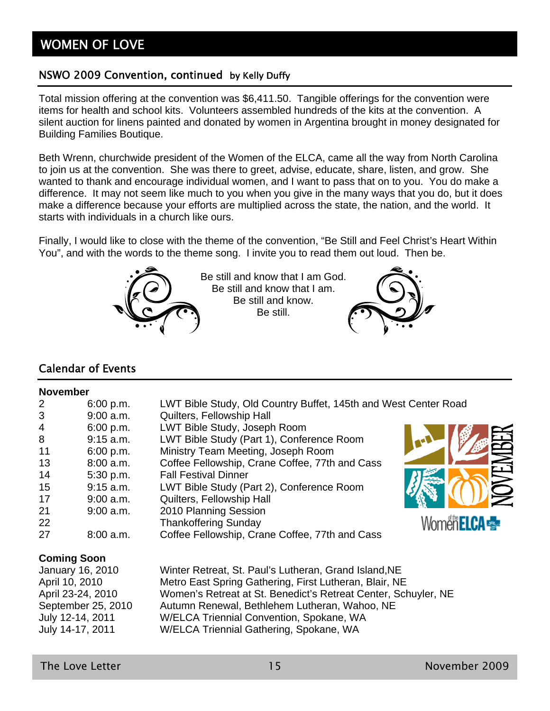#### NSWO 2009 Convention, continued by Kelly Duffy

Total mission offering at the convention was \$6,411.50. Tangible offerings for the convention were items for health and school kits. Volunteers assembled hundreds of the kits at the convention. A silent auction for linens painted and donated by women in Argentina brought in money designated for Building Families Boutique.

Beth Wrenn, churchwide president of the Women of the ELCA, came all the way from North Carolina to join us at the convention. She was there to greet, advise, educate, share, listen, and grow. She wanted to thank and encourage individual women, and I want to pass that on to you. You do make a difference. It may not seem like much to you when you give in the many ways that you do, but it does make a difference because your efforts are multiplied across the state, the nation, and the world. It starts with individuals in a church like ours.

Finally, I would like to close with the theme of the convention, "Be Still and Feel Christ's Heart Within You", and with the words to the theme song. I invite you to read them out loud. Then be.



Be still and know that I am God. Be still and know that I am. Be still and know. Be still.



#### Calendar of Events

#### **November**

| <b>INUVUIIIDUI</b> |                    |                                                                 |                         |
|--------------------|--------------------|-----------------------------------------------------------------|-------------------------|
| 2                  | 6:00 p.m.          | LWT Bible Study, Old Country Buffet, 145th and West Center Road |                         |
| 3                  | $9:00$ a.m.        | Quilters, Fellowship Hall                                       |                         |
| 4                  | 6:00 p.m.          | LWT Bible Study, Joseph Room                                    |                         |
| 8                  | $9:15$ a.m.        | LWT Bible Study (Part 1), Conference Room                       |                         |
| 11                 | 6:00 p.m.          | Ministry Team Meeting, Joseph Room                              |                         |
| 13                 | $8:00$ a.m.        | Coffee Fellowship, Crane Coffee, 77th and Cass                  | IOVEN                   |
| 14                 | 5:30 p.m.          | <b>Fall Festival Dinner</b>                                     |                         |
| 15                 | $9:15$ a.m.        | LWT Bible Study (Part 2), Conference Room                       |                         |
| 17                 | $9:00$ a.m.        | Quilters, Fellowship Hall                                       |                         |
| 21                 | $9:00$ a.m.        | 2010 Planning Session                                           |                         |
| 22                 |                    | <b>Thankoffering Sunday</b>                                     | Women <b>ELCA &amp;</b> |
| 27                 | $8:00$ a.m.        | Coffee Fellowship, Crane Coffee, 77th and Cass                  |                         |
|                    | <b>Coming Soon</b> |                                                                 |                         |
|                    | January 16, 2010   | Winter Retreat, St. Paul's Lutheran, Grand Island, NE           |                         |
|                    | April 10, 2010     | Metro East Spring Gathering, First Lutheran, Blair, NE          |                         |
|                    | April 23-24, 2010  | Women's Retreat at St. Benedict's Retreat Center, Schuyler, NE  |                         |
|                    | September 25, 2010 | Autumn Renewal, Bethlehem Lutheran, Wahoo, NE                   |                         |
|                    | July 12-14, 2011   | W/ELCA Triennial Convention, Spokane, WA                        |                         |

July 14-17, 2011 W/ELCA Triennial Gathering, Spokane, WA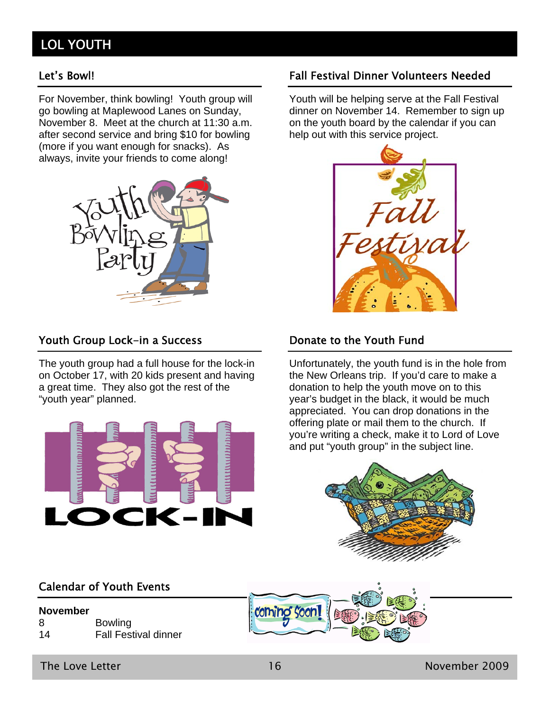# LOL YOUTH

For November, think bowling! Youth group will go bowling at Maplewood Lanes on Sunday, November 8. Meet at the church at 11:30 a.m. after second service and bring \$10 for bowling (more if you want enough for snacks). As always, invite your friends to come along!



#### Youth Group Lock-in a Success

The youth group had a full house for the lock-in on October 17, with 20 kids present and having a great time. They also got the rest of the "youth year" planned.



#### Calendar of Youth Events

#### **November**  8 Bowling 14 Fall Festival dinner

The Love Letter 16 November 2009

#### Let's Bowl! Fall Festival Dinner Volunteers Needed

Youth will be helping serve at the Fall Festival dinner on November 14. Remember to sign up on the youth board by the calendar if you can help out with this service project.



#### Donate to the Youth Fund

Unfortunately, the youth fund is in the hole from the New Orleans trip. If you'd care to make a donation to help the youth move on to this year's budget in the black, it would be much appreciated. You can drop donations in the offering plate or mail them to the church. If you're writing a check, make it to Lord of Love and put "youth group" in the subject line.



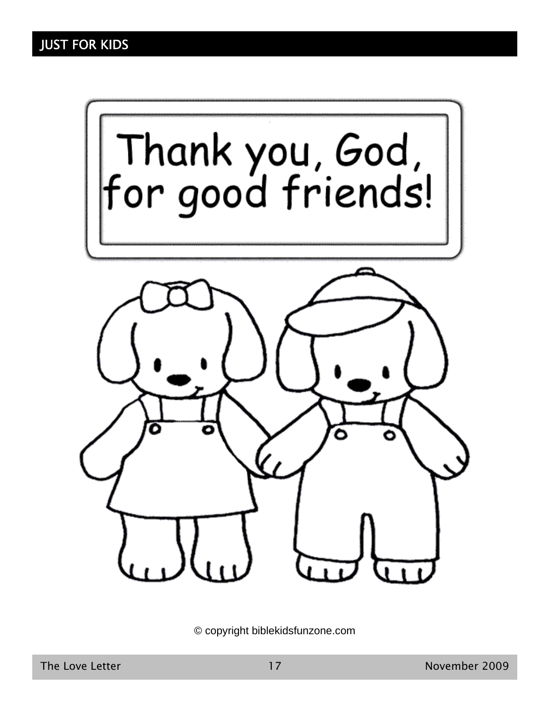

© copyright biblekidsfunzone.com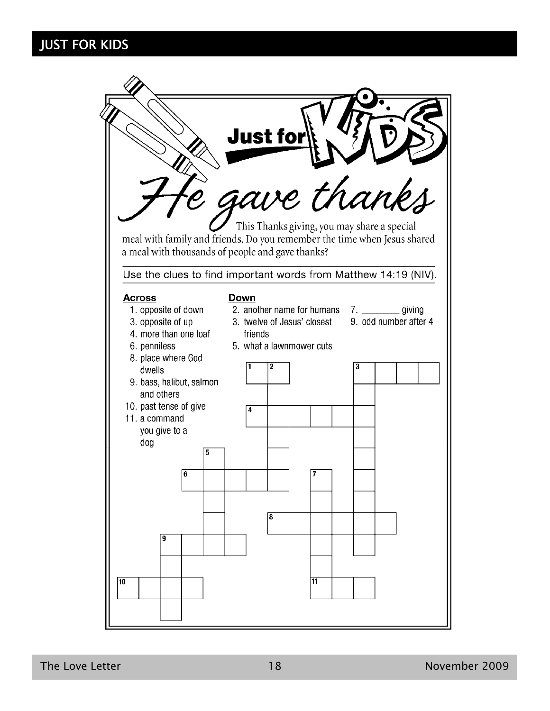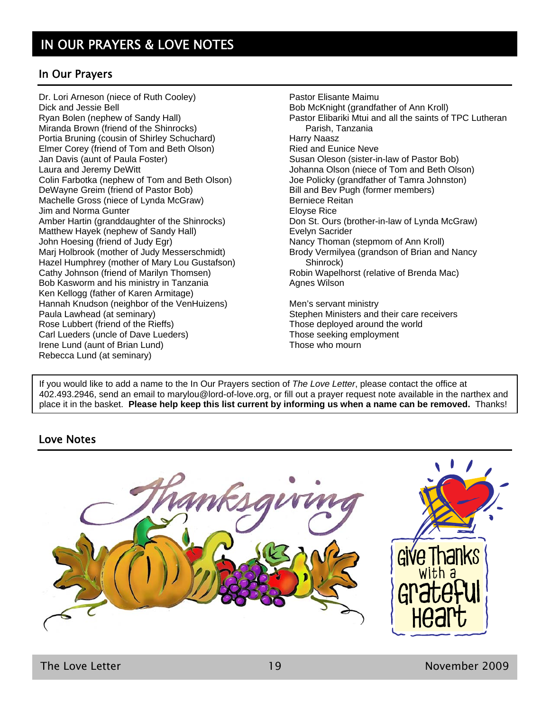#### In Our Prayers

Dr. Lori Arneson (niece of Ruth Cooley) Dick and Jessie Bell Ryan Bolen (nephew of Sandy Hall) Miranda Brown (friend of the Shinrocks) Portia Bruning (cousin of Shirley Schuchard) Elmer Corey (friend of Tom and Beth Olson) Jan Davis (aunt of Paula Foster) Laura and Jeremy DeWitt Colin Farbotka (nephew of Tom and Beth Olson) DeWayne Greim (friend of Pastor Bob) Machelle Gross (niece of Lynda McGraw) Jim and Norma Gunter Amber Hartin (granddaughter of the Shinrocks) Matthew Hayek (nephew of Sandy Hall) John Hoesing (friend of Judy Egr) Marj Holbrook (mother of Judy Messerschmidt) Hazel Humphrey (mother of Mary Lou Gustafson) Cathy Johnson (friend of Marilyn Thomsen) Bob Kasworm and his ministry in Tanzania Ken Kellogg (father of Karen Armitage) Hannah Knudson (neighbor of the VenHuizens) Paula Lawhead (at seminary) Rose Lubbert (friend of the Rieffs) Carl Lueders (uncle of Dave Lueders) Irene Lund (aunt of Brian Lund) Rebecca Lund (at seminary)

Pastor Elisante Maimu Bob McKnight (grandfather of Ann Kroll) Pastor Elibariki Mtui and all the saints of TPC Lutheran Parish, Tanzania Harry Naasz Ried and Eunice Neve Susan Oleson (sister-in-law of Pastor Bob) Johanna Olson (niece of Tom and Beth Olson) Joe Policky (grandfather of Tamra Johnston) Bill and Bev Pugh (former members) Berniece Reitan Eloyse Rice Don St. Ours (brother-in-law of Lynda McGraw) Evelyn Sacrider Nancy Thoman (stepmom of Ann Kroll) Brody Vermilyea (grandson of Brian and Nancy Shinrock) Robin Wapelhorst (relative of Brenda Mac) Agnes Wilson

Men's servant ministry Stephen Ministers and their care receivers Those deployed around the world Those seeking employment Those who mourn

If you would like to add a name to the In Our Prayers section of *The Love Letter*, please contact the office at 402.493.2946, send an email to marylou@lord-of-love.org, or fill out a prayer request note available in the narthex and place it in the basket. **Please help keep this list current by informing us when a name can be removed.** Thanks!

#### Love Notes